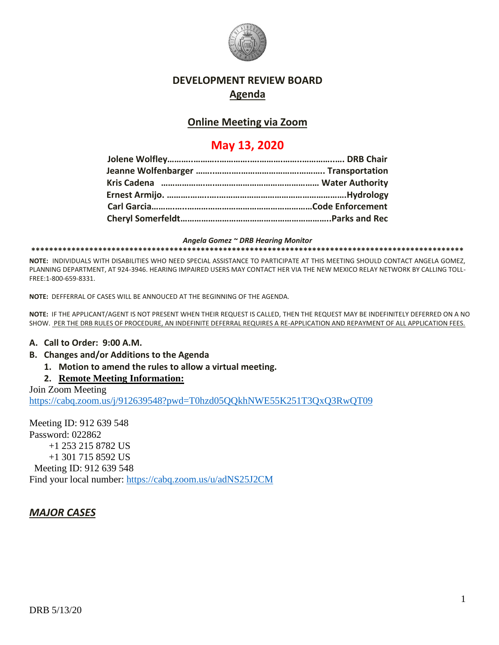

### **DEVELOPMENT REVIEW BOARD Agenda**

#### **Online Meeting via Zoom**

## **May 13, 2020**

*Angela Gomez ~ DRB Hearing Monitor* **\*\*\*\*\*\*\*\*\*\*\*\*\*\*\*\*\*\*\*\*\*\*\*\*\*\*\*\*\*\*\*\*\*\*\*\*\*\*\*\*\*\*\*\*\*\*\*\*\*\*\*\*\*\*\*\*\*\*\*\*\*\*\*\*\*\*\*\*\*\*\*\*\*\*\*\*\*\*\*\*\*\*\*\*\*\*\*\*\*\*\*\*\*\*\*\*\***

**NOTE:** INDIVIDUALS WITH DISABILITIES WHO NEED SPECIAL ASSISTANCE TO PARTICIPATE AT THIS MEETING SHOULD CONTACT ANGELA GOMEZ, PLANNING DEPARTMENT, AT 924-3946. HEARING IMPAIRED USERS MAY CONTACT HER VIA THE NEW MEXICO RELAY NETWORK BY CALLING TOLL-FREE:1-800-659-8331.

**NOTE:** DEFFERRAL OF CASES WILL BE ANNOUCED AT THE BEGINNING OF THE AGENDA.

**NOTE:** IF THE APPLICANT/AGENT IS NOT PRESENT WHEN THEIR REQUEST IS CALLED, THEN THE REQUEST MAY BE INDEFINITELY DEFERRED ON A NO SHOW. PER THE DRB RULES OF PROCEDURE, AN INDEFINITE DEFERRAL REQUIRES A RE-APPLICATION AND REPAYMENT OF ALL APPLICATION FEES.

#### **A. Call to Order: 9:00 A.M.**

- **B. Changes and/or Additions to the Agenda**
	- **1. Motion to amend the rules to allow a virtual meeting.**
	- **2. Remote Meeting Information:**

Join Zoom Meeting <https://cabq.zoom.us/j/912639548?pwd=T0hzd05QQkhNWE55K251T3QxQ3RwQT09>

Meeting ID: 912 639 548 Password: 022862 +1 253 215 8782 US +1 301 715 8592 US Meeting ID: 912 639 548 Find your local number:<https://cabq.zoom.us/u/adNS25J2CM>

### *MAJOR CASES*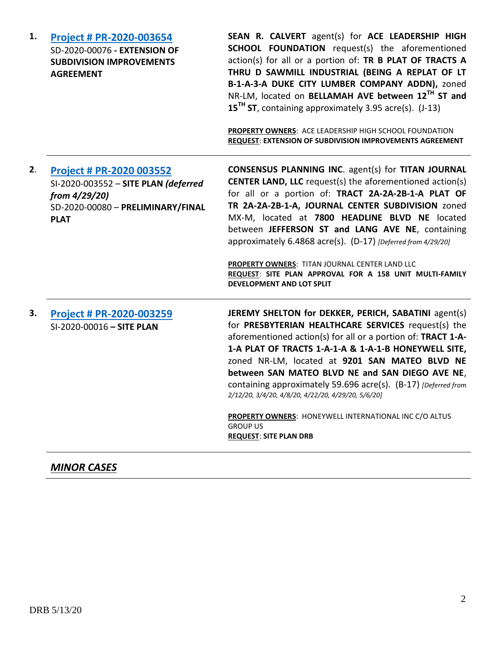| 1. | Project # PR-2020-003654<br>SD-2020-00076 - EXTENSION OF<br><b>SUBDIVISION IMPROVEMENTS</b><br><b>AGREEMENT</b>                              | SEAN R. CALVERT agent(s) for ACE LEADERSHIP HIGH<br><b>SCHOOL FOUNDATION</b> request(s) the aforementioned<br>action(s) for all or a portion of: TR B PLAT OF TRACTS A<br>THRU D SAWMILL INDUSTRIAL (BEING A REPLAT OF LT<br>B-1-A-3-A DUKE CITY LUMBER COMPANY ADDN), zoned<br>NR-LM, located on BELLAMAH AVE between 12TH ST and<br>$15TH$ ST, containing approximately 3.95 acre(s). (J-13)<br>PROPERTY OWNERS: ACE LEADERSHIP HIGH SCHOOL FOUNDATION<br>REQUEST: EXTENSION OF SUBDIVISION IMPROVEMENTS AGREEMENT                                                           |
|----|----------------------------------------------------------------------------------------------------------------------------------------------|--------------------------------------------------------------------------------------------------------------------------------------------------------------------------------------------------------------------------------------------------------------------------------------------------------------------------------------------------------------------------------------------------------------------------------------------------------------------------------------------------------------------------------------------------------------------------------|
| 2. | <b>Project # PR-2020 003552</b><br>SI-2020-003552 - SITE PLAN (deferred<br>from 4/29/20)<br>SD-2020-00080 - PRELIMINARY/FINAL<br><b>PLAT</b> | <b>CONSENSUS PLANNING INC. agent(s) for TITAN JOURNAL</b><br><b>CENTER LAND, LLC</b> request(s) the aforementioned action(s)<br>for all or a portion of: TRACT 2A-2A-2B-1-A PLAT OF<br>TR 2A-2A-2B-1-A, JOURNAL CENTER SUBDIVISION zoned<br>MX-M, located at 7800 HEADLINE BLVD NE located<br>between JEFFERSON ST and LANG AVE NE, containing<br>approximately 6.4868 acre(s). (D-17) [Deferred from 4/29/20]<br>PROPERTY OWNERS: TITAN JOURNAL CENTER LAND LLC<br>REQUEST: SITE PLAN APPROVAL FOR A 158 UNIT MULTI-FAMILY<br>DEVELOPMENT AND LOT SPLIT                       |
| 3. | Project # PR-2020-003259<br>SI-2020-00016 - SITE PLAN                                                                                        | JEREMY SHELTON for DEKKER, PERICH, SABATINI agent(s)<br>for PRESBYTERIAN HEALTHCARE SERVICES request(s) the<br>aforementioned action(s) for all or a portion of: TRACT 1-A-<br>1-A PLAT OF TRACTS 1-A-1-A & 1-A-1-B HONEYWELL SITE,<br>zoned NR-LM, located at 9201 SAN MATEO BLVD NE<br>between SAN MATEO BLVD NE and SAN DIEGO AVE NE,<br>containing approximately 59.696 acre(s). (B-17) [Deferred from<br>2/12/20, 3/4/20, 4/8/20, 4/22/20, 4/29/20, 5/6/20]<br>PROPERTY OWNERS: HONEYWELL INTERNATIONAL INC C/O ALTUS<br><b>GROUP US</b><br><b>REQUEST: SITE PLAN DRB</b> |

# *MINOR CASES*